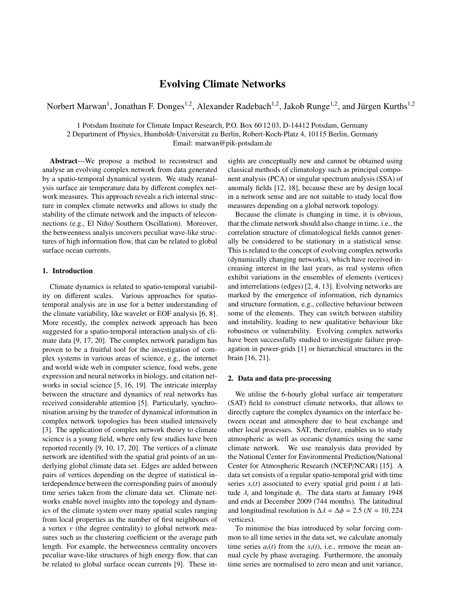# Evolving Climate Networks

Norbert Marwan<sup>1</sup>, Jonathan F. Donges<sup>1,2</sup>, Alexander Radebach<sup>1,2</sup>, Jakob Runge<sup>1,2</sup>, and Jürgen Kurths<sup>1,2</sup>

1 Potsdam Institute for Climate Impact Research, P.O. Box 60 12 03, D-14412 Potsdam, Germany

2 Department of Physics, Humboldt-Universitat zu Berlin, Robert-Koch-Platz 4, 10115 Berlin, Germany ¨

Email: marwan@pik-potsdam.de

Abstract—We propose a method to reconstruct and analyse an evolving complex network from data generated by a spatio-temporal dynamical system. We study reanalysis surface air temperature data by different complex network measures. This approach reveals a rich internal structure in complex climate networks and allows to study the stability of the climate network and the impacts of teleconnections (e.g., El Niño/ Southern Oscillation). Moreover, the betweenness analyis uncovers peculiar wave-like structures of high information flow, that can be related to global surface ocean currents.

## 1. Introduction

Climate dynamics is related to spatio-temporal variability on different scales. Various approaches for spatiotemporal analysis are in use for a better understanding of the climate variability, like wavelet or EOF analysis [6, 8]. More recently, the complex network approach has been suggested for a spatio-temporal interaction analysis of climate data [9, 17, 20]. The complex network paradigm has proven to be a fruitful tool for the investigation of complex systems in various areas of science, e.g., the internet and world wide web in computer science, food webs, gene expression and neural networks in biology, and citation networks in social science [5, 16, 19]. The intricate interplay between the structure and dynamics of real networks has received considerable attention [5]. Particularly, synchronisation arising by the transfer of dynamical information in complex network topologies has been studied intensively [3]. The application of complex network theory to climate science is a young field, where only few studies have been reported recently [9, 10, 17, 20]. The vertices of a climate network are identified with the spatial grid points of an underlying global climate data set. Edges are added between pairs of vertices depending on the degree of statistical interdependence between the corresponding pairs of anomaly time series taken from the climate data set. Climate networks enable novel insights into the topology and dynamics of the climate system over many spatial scales ranging from local properties as the number of first neighbours of a vertex *v* (the degree centrality) to global network measures such as the clustering coefficient or the average path length. For example, the betweenness centrality uncovers peculiar wave-like structures of high energy flow, that can be related to global surface ocean currents [9]. These insights are conceptually new and cannot be obtained using classical methods of climatology such as principal component analysis (PCA) or singular spectrum analysis (SSA) of anomaly fields [12, 18], because these are by design local in a network sense and are not suitable to study local flow measures depending on a global network topology.

Because the climate is changing in time, it is obvious, that the climate network should also change in time, i.e., the correlation structure of climatological fields cannot generally be considered to be stationary in a statistical sense. This is related to the concept of evolving complex networks (dynamically changing networks), which have received increasing interest in the last years, as real systems often exhibit variations in the ensembles of elements (vertices) and interrelations (edges) [2, 4, 13]. Evolving networks are marked by the emergence of information, rich dynamics and structure formation, e.g., collective behaviour between some of the elements. They can switch between stability and instability, leading to new qualitative behaviour like robustness or vulnerability. Evolving complex networks have been successfully studied to investigate failure propagation in power-grids [1] or hierarchical structures in the brain [16, 21].

#### 2. Data and data pre-processing

We utilise the 6-hourly global surface air temperature (SAT) field to construct climate networks, that allows to directly capture the complex dynamics on the interface between ocean and atmosphere due to heat exchange and other local processes. SAT, therefore, enables us to study atmospheric as well as oceanic dynamics using the same climate network. We use reanalysis data provided by the National Center for Environmental Prediction/National Center for Atmospheric Research (NCEP/NCAR) [15]. A data set consists of a regular spatio-temporal grid with time series  $x_i(t)$  associated to every spatial grid point *i* at latitude  $\lambda_i$  and longitude  $\phi_i$ . The data starts at January 1948<br>and ends at December 2009 (744 months). The latitudinal and ends at December 2009 (744 months). The latitudinal and longitudinal resolution is  $\Delta \lambda = \Delta \phi = 2.5$  (*N* = 10, 224 vertices).

To minimise the bias introduced by solar forcing common to all time series in the data set, we calculate anomaly time series  $a_i(t)$  from the  $x_i(t)$ , i.e., remove the mean annual cycle by phase averaging. Furthermore, the anomaly time series are normalised to zero mean and unit variance,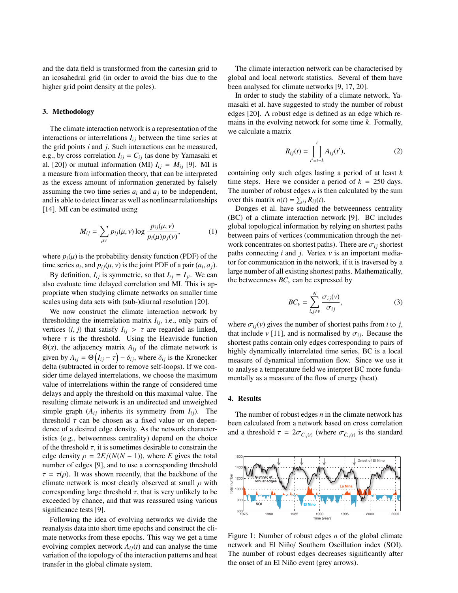and the data field is transformed from the cartesian grid to an icosahedral grid (in order to avoid the bias due to the higher grid point density at the poles).

#### 3. Methodology

The climate interaction network is a representation of the interactions or interrelations  $I_{ij}$  between the time series at the grid points *i* and *j*. Such interactions can be measured, e.g., by cross correlation  $I_{ij} = C_{ij}$  (as done by Yamasaki et al. [20]) or mutual information (MI)  $I_{ij} = M_{ij}$  [9]. MI is a measure from information theory, that can be interpreted as the excess amount of information generated by falsely assuming the two time series  $a_i$  and  $a_j$  to be independent, and is able to detect linear as well as nonlinear relationships [14]. MI can be estimated using

$$
M_{ij} = \sum_{\mu\nu} p_{ij}(\mu, \nu) \log \frac{p_{ij}(\mu, \nu)}{p_i(\mu) p_j(\nu)},
$$
 (1)

where  $p_i(\mu)$  is the probability density function (PDF) of the time series  $a_i$ , and  $p_{ij}(\mu, \nu)$  is the joint PDF of a pair  $(a_i, a_j)$ .<br>By definition *L* is symmetric so that  $L = L$ . We see

By definition,  $I_{ij}$  is symmetric, so that  $I_{ij} = I_{ji}$ . We can also evaluate time delayed correlation and MI. This is appropriate when studying climate networks on smaller time scales using data sets with (sub-)diurnal resolution [20].

We now construct the climate interaction network by thresholding the interrelation matrix  $I_{ij}$ , i.e., only pairs of vertices  $(i, j)$  that satisfy  $I_{ij} > \tau$  are regarded as linked, where  $\tau$  is the threshold. Using the Heaviside function Θ(*x*), the adjacency matrix  $A_{ij}$  of the climate network is given by  $A_{ij} = \Theta(I_{ij} - \tau) - \delta_{ij}$ , where  $\delta_{ij}$  is the Kronecker<br>delta (subtracted in order to remove self-loops). If we condelta (subtracted in order to remove self-loops). If we consider time delayed interrelations, we choose the maximum value of interrelations within the range of considered time delays and apply the threshold on this maximal value. The resulting climate network is an undirected and unweighted simple graph  $(A_{ij}$  inherits its symmetry from  $I_{ij}$ ). The threshold  $\tau$  can be chosen as a fixed value or on dependence of a desired edge density. As the network characteristics (e.g., betweenness centrality) depend on the choice of the threshold  $\tau$ , it is sometimes desirable to constrain the edge density  $\rho = 2E/(N(N-1))$ , where *E* gives the total number of edges [9], and to use a corresponding threshold  $\tau = \tau(\rho)$ . It was shown recently, that the backbone of the climate network is most clearly observed at small  $\rho$  with corresponding large threshold  $\tau$ , that is very unlikely to be exceeded by chance, and that was reassured using various significance tests [9].

Following the idea of evolving networks we divide the reanalysis data into short time epochs and construct the climate networks from these epochs. This way we get a time evolving complex network  $A_{ij}(t)$  and can analyse the time variation of the topology of the interaction patterns and heat transfer in the global climate system.

The climate interaction network can be characterised by global and local network statistics. Several of them have been analysed for climate networks [9, 17, 20].

In order to study the stability of a climate network, Yamasaki et al. have suggested to study the number of robust edges [20]. A robust edge is defined as an edge which remains in the evolving network for some time *k*. Formally, we calculate a matrix

$$
R_{ij}(t) = \prod_{t'=t-k}^{t} A_{ij}(t'),
$$
 (2)

containing only such edges lasting a period of at least *k* time steps. Here we consider a period of  $k = 250$  days. The number of robust edges *n* is then calculated by the sum over this matrix  $n(t) = \sum_{ij} R_{ij}(t)$ .

Donges et al. have studied the betweenness centrality (BC) of a climate interaction network [9]. BC includes global topological information by relying on shortest paths between pairs of vertices (communication through the network concentrates on shortest paths). There are  $\sigma_{ij}$  shortest paths connecting *i* and *j*. Vertex *v* is an important mediator for communication in the network, if it is traversed by a large number of all existing shortest paths. Mathematically, the betweenness  $BC_v$  can be expressed by

$$
BC_v = \sum_{i,j \neq v}^{N} \frac{\sigma_{ij}(v)}{\sigma_{ij}},
$$
\n(3)

where  $\sigma_{ij}(v)$  gives the number of shortest paths from *i* to *j*, that include  $v$  [11], and is normalised by  $\sigma_{ij}$ . Because the shortest paths contain only edges corresponding to pairs of highly dynamically interrelated time series, BC is a local measure of dynamical information flow. Since we use it to analyse a temperature field we interpret BC more fundamentally as a measure of the flow of energy (heat).

#### 4. Results

The number of robust edges *n* in the climate network has been calculated from a network based on cross correlation and a threshold  $\tau = 2\sigma_{\hat{C}_{ij}(t)}$  (where  $\sigma_{\hat{C}_{ij}(t)}$  is the standard



Figure 1: Number of robust edges *n* of the global climate network and El Niño/ Southern Oscillation index (SOI). The number of robust edges decreases significantly after the onset of an El Niño event (grey arrows).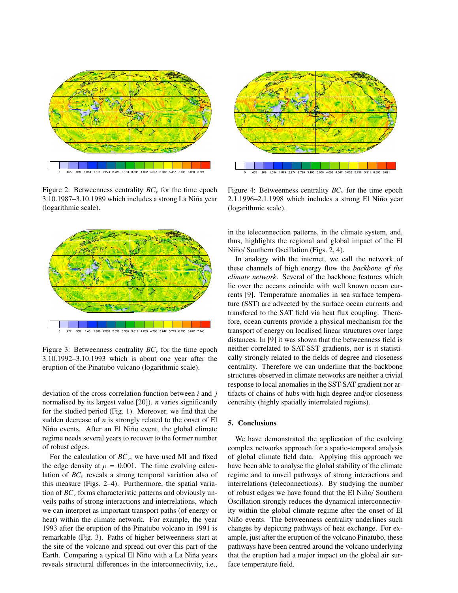

Figure 2: Betweenness centrality  $BC<sub>v</sub>$  for the time epoch  $3.10.1987 - 3.10.1989$  which includes a strong La Niña year (logarithmic scale).



Figure 3: Betweenness centrality  $BC<sub>v</sub>$  for the time epoch 3.10.1992–3.10.1993 which is about one year after the eruption of the Pinatubo vulcano (logarithmic scale).

deviation of the cross correlation function between *i* and *j* normalised by its largest value [20]). *n* varies significantly for the studied period (Fig. 1). Moreover, we find that the sudden decrease of *n* is strongly related to the onset of El Niño events. After an El Niño event, the global climate regime needs several years to recover to the former number of robust edges.

For the calculation of *BCv*, we have used MI and fixed the edge density at  $\rho = 0.001$ . The time evolving calculation of  $BC<sub>v</sub>$  reveals a strong temporal variation also of this measure (Figs. 2–4). Furthermore, the spatial variation of *BC<sup>v</sup>* forms characteristic patterns and obviously unveils paths of strong interactions and interrelations, which we can interpret as important transport paths (of energy or heat) within the climate network. For example, the year 1993 after the eruption of the Pinatubo volcano in 1991 is remarkable (Fig. 3). Paths of higher betweenness start at the site of the volcano and spread out over this part of the Earth. Comparing a typical El Niño with a La Niña years reveals structural differences in the interconnectivity, i.e.,



Figure 4: Betweenness centrality  $BC_v$  for the time epoch  $2.1.1996 - 2.1.1998$  which includes a strong El Niño year (logarithmic scale).

in the teleconnection patterns, in the climate system, and, thus, highlights the regional and global impact of the El Niño/ Southern Oscillation (Figs. 2, 4).

In analogy with the internet, we call the network of these channels of high energy flow the *backbone of the climate network*. Several of the backbone features which lie over the oceans coincide with well known ocean currents [9]. Temperature anomalies in sea surface temperature (SST) are advected by the surface ocean currents and transfered to the SAT field via heat flux coupling. Therefore, ocean currents provide a physical mechanism for the transport of energy on localised linear structures over large distances. In [9] it was shown that the betweenness field is neither correlated to SAT-SST gradients, nor is it statistically strongly related to the fields of degree and closeness centrality. Therefore we can underline that the backbone structures observed in climate networks are neither a trivial response to local anomalies in the SST-SAT gradient nor artifacts of chains of hubs with high degree and/or closeness centrality (highly spatially interrelated regions).

### 5. Conclusions

We have demonstrated the application of the evolving complex networks approach for a spatio-temporal analysis of global climate field data. Applying this approach we have been able to analyse the global stability of the climate regime and to unveil pathways of strong interactions and interrelations (teleconnections). By studying the number of robust edges we have found that the El Niño/ Southern Oscillation strongly reduces the dynamical interconnectivity within the global climate regime after the onset of El Niño events. The betweenness centrality underlines such changes by depicting pathways of heat exchange. For example, just after the eruption of the volcano Pinatubo, these pathways have been centred around the volcano underlying that the eruption had a major impact on the global air surface temperature field.